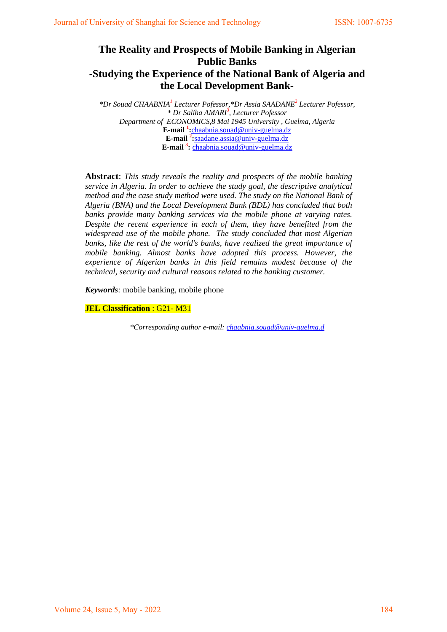# **The Reality and Prospects of Mobile Banking in Algerian Public Banks -Studying the Experience of the National Bank of Algeria and the Local Development Bank-**

*\*Dr Souad CHAABNIA1 Lecturer Pofessor,\*Dr Assia SAADANE2 Lecturer Pofessor, \* Dr Saliha AMARI3 , Lecturer Pofessor Department of ECONOMICS,8 Mai 1945 University , Guelma, Algeria* **E-mail <sup>1</sup> :**[chaabnia.souad@univ-guelma.dz](mailto:chaabnia.souad@univ-guelma.dz) **E-mail 2 :**saadane.assia@univ-guelma.dz **E-mail 3 :** [chaabnia.souad@univ-guelma.dz](mailto:chaabnia.souad@univ-guelma.dz)

**Abstract**: *This study reveals the reality and prospects of the mobile banking service in Algeria. In order to achieve the study goal, the descriptive analytical method and the case study method were used. The study on the National Bank of Algeria (BNA) and the Local Development Bank (BDL) has concluded that both banks provide many banking services via the mobile phone at varying rates. Despite the recent experience in each of them, they have benefited from the widespread use of the mobile phone. The study concluded that most Algerian*  banks, like the rest of the world's banks, have realized the great importance of *mobile banking. Almost banks have adopted this process. However, the experience of Algerian banks in this field remains modest because of the technical, security and cultural reasons related to the banking customer.*

*Keywords:* mobile banking, mobile phone

**JEL Classification** : G21- M31

*\*Corresponding author e-mail: [chaabnia.souad@univ-guelma.d](mailto:chaabnia.souad@univ-guelma.d)*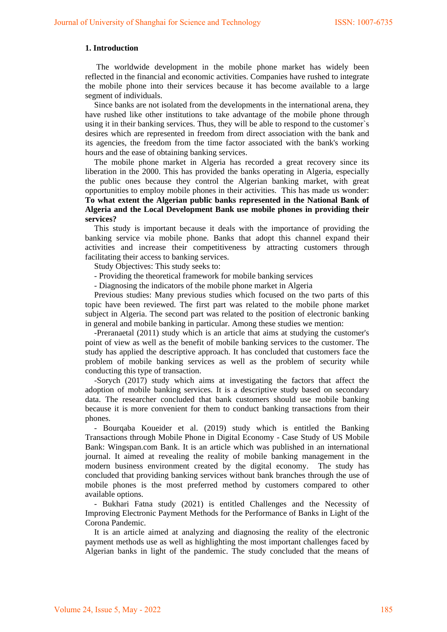### **1. Introduction**

The worldwide development in the mobile phone market has widely been reflected in the financial and economic activities. Companies have rushed to integrate the mobile phone into their services because it has become available to a large segment of individuals.

Since banks are not isolated from the developments in the international arena, they have rushed like other institutions to take advantage of the mobile phone through using it in their banking services. Thus, they will be able to respond to the customer`s desires which are represented in freedom from direct association with the bank and its agencies, the freedom from the time factor associated with the bank's working hours and the ease of obtaining banking services.

The mobile phone market in Algeria has recorded a great recovery since its liberation in the 2000. This has provided the banks operating in Algeria, especially the public ones because they control the Algerian banking market, with great opportunities to employ mobile phones in their activities. This has made us wonder: **To what extent the Algerian public banks represented in the National Bank of Algeria and the Local Development Bank use mobile phones in providing their services?**

This study is important because it deals with the importance of providing the banking service via mobile phone. Banks that adopt this channel expand their activities and increase their competitiveness by attracting customers through facilitating their access to banking services.

Study Objectives: This study seeks to:

- Providing the theoretical framework for mobile banking services
- Diagnosing the indicators of the mobile phone market in Algeria

Previous studies: Many previous studies which focused on the two parts of this topic have been reviewed. The first part was related to the mobile phone market subject in Algeria. The second part was related to the position of electronic banking in general and mobile banking in particular. Among these studies we mention:

-Preranaetal (2011) study which is an article that aims at studying the customer's point of view as well as the benefit of mobile banking services to the customer. The study has applied the descriptive approach. It has concluded that customers face the problem of mobile banking services as well as the problem of security while conducting this type of transaction.

-Sorych (2017) study which aims at investigating the factors that affect the adoption of mobile banking services. It is a descriptive study based on secondary data. The researcher concluded that bank customers should use mobile banking because it is more convenient for them to conduct banking transactions from their phones.

- Bourqaba Koueider et al. (2019) study which is entitled the Banking Transactions through Mobile Phone in Digital Economy - Case Study of US Mobile Bank: Wingspan.com Bank. It is an article which was published in an international journal. It aimed at revealing the reality of mobile banking management in the modern business environment created by the digital economy. The study has concluded that providing banking services without bank branches through the use of mobile phones is the most preferred method by customers compared to other available options.

- Bukhari Fatna study (2021) is entitled Challenges and the Necessity of Improving Electronic Payment Methods for the Performance of Banks in Light of the Corona Pandemic.

It is an article aimed at analyzing and diagnosing the reality of the electronic payment methods use as well as highlighting the most important challenges faced by Algerian banks in light of the pandemic. The study concluded that the means of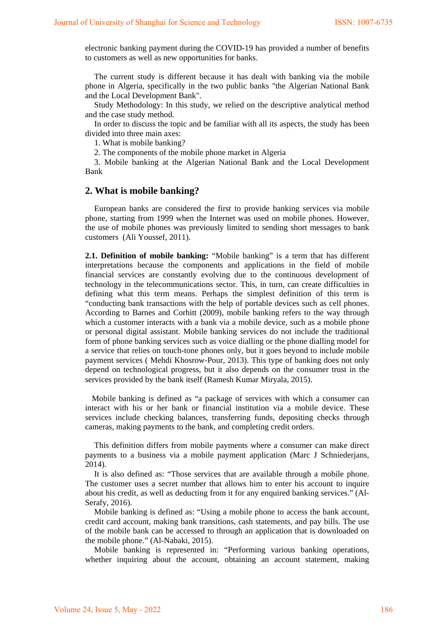electronic banking payment during the COVID-19 has provided a number of benefits to customers as well as new opportunities for banks.

The current study is different because it has dealt with banking via the mobile phone in Algeria, specifically in the two public banks "the Algerian National Bank and the Local Development Bank".

Study Methodology: In this study, we relied on the descriptive analytical method and the case study method.

In order to discuss the topic and be familiar with all its aspects, the study has been divided into three main axes:

1. What is mobile banking?

2. The components of the mobile phone market in Algeria

3. Mobile banking at the Algerian National Bank and the Local Development Bank

### **2. What is mobile banking?**

European banks are considered the first to provide banking services via mobile phone, starting from 1999 when the Internet was used on mobile phones. However, the use of mobile phones was previously limited to sending short messages to bank customers (Ali Youssef, 2011).

**2.1. Definition of mobile banking:** "Mobile banking" is a term that has different interpretations because the components and applications in the field of mobile financial services are constantly evolving due to the continuous development of technology in the telecommunications sector. This, in turn, can create difficulties in defining what this term means. Perhaps the simplest definition of this term is "conducting bank transactions with the help of portable devices such as cell phones. According to Barnes and Corhitt (2009), mobile banking refers to the way through which a customer interacts with a bank via a mobile device, such as a mobile phone or personal digital assistant. Mobile banking services do not include the traditional form of phone banking services such as voice dialling or the phone dialling model for a service that relies on touch-tone phones only, but it goes beyond to include mobile payment services ( Mehdi Khosrow-Pour, 2013). This type of banking does not only depend on technological progress, but it also depends on the consumer trust in the services provided by the bank itself (Ramesh Kumar Miryala, 2015).

 Mobile banking is defined as "a package of services with which a consumer can interact with his or her bank or financial institution via a mobile device. These services include checking balances, transferring funds, depositing checks through cameras, making payments to the bank, and completing credit orders.

This definition differs from mobile payments where a consumer can make direct payments to a business via a mobile payment application (Marc J Schniederjans, 2014).

It is also defined as: "Those services that are available through a mobile phone. The customer uses a secret number that allows him to enter his account to inquire about his credit, as well as deducting from it for any enquired banking services." (Al-Serafy, 2016).

Mobile banking is defined as: "Using a mobile phone to access the bank account, credit card account, making bank transitions, cash statements, and pay bills. The use of the mobile bank can be accessed to through an application that is downloaded on the mobile phone." (Al-Nabaki, 2015).

Mobile banking is represented in: "Performing various banking operations, whether inquiring about the account, obtaining an account statement, making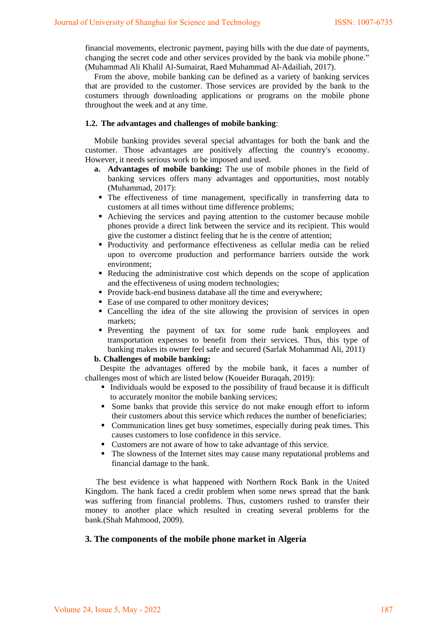financial movements, electronic payment, paying bills with the due date of payments, changing the secret code and other services provided by the bank via mobile phone." (Muhammad Ali Khalil Al-Sumairat, Raed Muhammad Al-Adailiah, 2017).

From the above, mobile banking can be defined as a variety of banking services that are provided to the customer. Those services are provided by the bank to the costumers through downloading applications or programs on the mobile phone throughout the week and at any time.

### **1.2. The advantages and challenges of mobile banking**:

Mobile banking provides several special advantages for both the bank and the customer. Those advantages are positively affecting the country's economy. However, it needs serious work to be imposed and used.

- **a. Advantages of mobile banking:** The use of mobile phones in the field of banking services offers many advantages and opportunities, most notably (Muhammad, 2017):
	- The effectiveness of time management, specifically in transferring data to customers at all times without time difference problems;
	- Achieving the services and paying attention to the customer because mobile phones provide a direct link between the service and its recipient. This would give the customer a distinct feeling that he is the centre of attention;
- Productivity and performance effectiveness as cellular media can be relied upon to overcome production and performance barriers outside the work environment;
- Reducing the administrative cost which depends on the scope of application and the effectiveness of using modern technologies;
- **Provide back-end business database all the time and everywhere:**
- Ease of use compared to other monitory devices;
- Cancelling the idea of the site allowing the provision of services in open markets;
- Preventing the payment of tax for some rude bank employees and transportation expenses to benefit from their services. Thus, this type of banking makes its owner feel safe and secured (Sarlak Mohammad Ali, 2011).

### **b. Challenges of mobile banking:**

Despite the advantages offered by the mobile bank, it faces a number of challenges most of which are listed below (Koueider Buraqah, 2019):

- Individuals would be exposed to the possibility of fraud because it is difficult to accurately monitor the mobile banking services;
- Some banks that provide this service do not make enough effort to inform their customers about this service which reduces the number of beneficiaries;
- Communication lines get busy sometimes, especially during peak times. This causes customers to lose confidence in this service.
- Customers are not aware of how to take advantage of this service.
- The slowness of the Internet sites may cause many reputational problems and financial damage to the bank.

The best evidence is what happened with Northern Rock Bank in the United Kingdom. The bank faced a credit problem when some news spread that the bank was suffering from financial problems. Thus, customers rushed to transfer their money to another place which resulted in creating several problems for the bank.(Shah Mahmood, 2009).

### **3. The components of the mobile phone market in Algeria**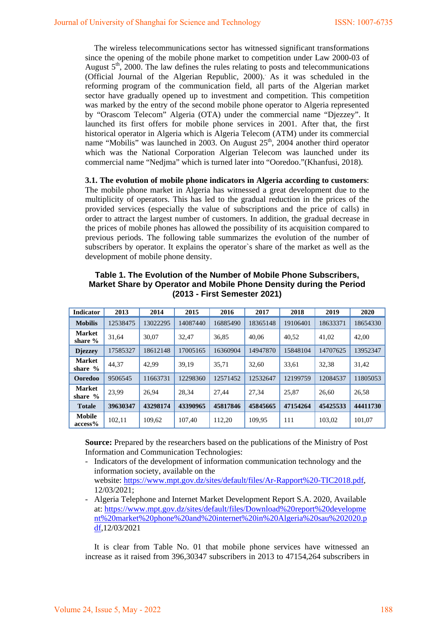The wireless telecommunications sector has witnessed significant transformations since the opening of the mobile phone market to competition under Law 2000-03 of August  $5<sup>th</sup>$ , 2000. The law defines the rules relating to posts and telecommunications (Official Journal of the Algerian Republic, 2000). . As it was scheduled in the reforming program of the communication field, all parts of the Algerian market sector have gradually opened up to investment and competition. This competition was marked by the entry of the second mobile phone operator to Algeria represented by "Orascom Telecom" Algeria (OTA) under the commercial name "Djezzey". It launched its first offers for mobile phone services in 2001. After that, the first historical operator in Algeria which is Algeria Telecom (ATM) under its commercial name "Mobilis" was launched in 2003. On August 25<sup>th</sup>, 2004 another third operator which was the National Corporation Algerian Telecom was launched under its commercial name "Nedjma" which is turned later into "Ooredoo."(Khanfusi, 2018).

**3.1. The evolution of mobile phone indicators in Algeria according to customers**: The mobile phone market in Algeria has witnessed a great development due to the multiplicity of operators. This has led to the gradual reduction in the prices of the provided services (especially the value of subscriptions and the price of calls) in order to attract the largest number of customers. In addition, the gradual decrease in the prices of mobile phones has allowed the possibility of its acquisition compared to previous periods. The following table summarizes the evolution of the number of subscribers by operator. It explains the operator`s share of the market as well as the development of mobile phone density.

| <b>Indicator</b>           | 2013     | 2014     | 2015     | 2016     | 2017     | 2018     | 2019     | 2020     |
|----------------------------|----------|----------|----------|----------|----------|----------|----------|----------|
| <b>Mobilis</b>             | 12538475 | 13022295 | 14087440 | 16885490 | 18365148 | 19106401 | 18633371 | 18654330 |
| <b>Market</b><br>share %   | 31,64    | 30.07    | 32,47    | 36,85    | 40.06    | 40.52    | 41,02    | 42.00    |
| <b>Diezzev</b>             | 17585327 | 18612148 | 17005165 | 16360904 | 14947870 | 15848104 | 14707625 | 13952347 |
| <b>Market</b><br>share $%$ | 44.37    | 42.99    | 39.19    | 35,71    | 32.60    | 33,61    | 32,38    | 31,42    |
| Ooredoo                    | 9506545  | 11663731 | 12298360 | 12571452 | 12532647 | 12199759 | 12084537 | 11805053 |
| <b>Market</b><br>share $%$ | 23.99    | 26.94    | 28.34    | 27.44    | 27.34    | 25.87    | 26.60    | 26,58    |
| <b>Totale</b>              | 39630347 | 43298174 | 43390965 | 45817846 | 45845665 | 47154264 | 45425533 | 44411730 |
| <b>Mobile</b><br>access%   | 102,11   | 109.62   | 107.40   | 112,20   | 109,95   | 111      | 103,02   | 101,07   |

**Table 1. The Evolution of the Number of Mobile Phone Subscribers, Market Share by Operator and Mobile Phone Density during the Period (2013 - First Semester 2021)**

**Source:** Prepared by the researchers based on the publications of the Ministry of Post Information and Communication Technologies:

- Indicators of the development of information communication technology and the information society, available on the website: [https://www.mpt.gov.dz/sites/default/files/Ar-Rapport%20-TIC2018.pdf,](https://www.mpt.gov.dz/sites/default/files/Ar-Rapport%20-TIC2018.pdf) 12/03/2021;
- Algeria Telephone and Internet Market Development Report S.A. 2020, Available at: [https://www.mpt.gov.dz/sites/default/files/Download%20report%20developme](https://www.mpt.gov.dz/sites/default/files/Download%20report%20development%20market%20phone%20and%20internet%20in%20Algeria%20sau%202020.pdf) [nt%20market%20phone%20and%20internet%20in%20Algeria%20sau%202020.p](https://www.mpt.gov.dz/sites/default/files/Download%20report%20development%20market%20phone%20and%20internet%20in%20Algeria%20sau%202020.pdf) [df,](https://www.mpt.gov.dz/sites/default/files/Download%20report%20development%20market%20phone%20and%20internet%20in%20Algeria%20sau%202020.pdf)12/03/2021

It is clear from Table No. 01 that mobile phone services have witnessed an increase as it raised from 396,30347 subscribers in 2013 to 47154,264 subscribers in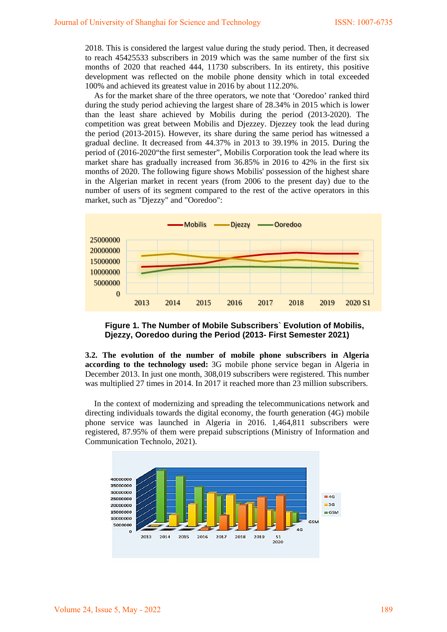2018. This is considered the largest value during the study period. Then, it decreased to reach 45425533 subscribers in 2019 which was the same number of the first six months of 2020 that reached 444, 11730 subscribers. In its entirety, this positive development was reflected on the mobile phone density which in total exceeded 100% and achieved its greatest value in 2016 by about 112.20%.

As for the market share of the three operators, we note that 'Ooredoo' ranked third during the study period achieving the largest share of 28.34% in 2015 which is lower than the least share achieved by Mobilis during the period (2013-2020). The competition was great between Mobilis and Djezzey. Djezzey took the lead during the period (2013-2015). However, its share during the same period has witnessed a gradual decline. It decreased from 44.37% in 2013 to 39.19% in 2015. During the period of (2016-2020"the first semester", Mobilis Corporation took the lead where its market share has gradually increased from 36.85% in 2016 to 42% in the first six months of 2020. The following figure shows Mobilis' possession of the highest share in the Algerian market in recent years (from 2006 to the present day) due to the number of users of its segment compared to the rest of the active operators in this market, such as "Djezzy" and "Ooredoo":





**3.2. The evolution of the number of mobile phone subscribers in Algeria according to the technology used:** 3G mobile phone service began in Algeria in December 2013. In just one month, 308,019 subscribers were registered. This number was multiplied 27 times in 2014. In 2017 it reached more than 23 million subscribers.

In the context of modernizing and spreading the telecommunications network and directing individuals towards the digital economy, the fourth generation (4G) mobile phone service was launched in Algeria in 2016. 1,464,811 subscribers were registered, 87.95% of them were prepaid subscriptions (Ministry of Information and Communication Technolo, 2021).

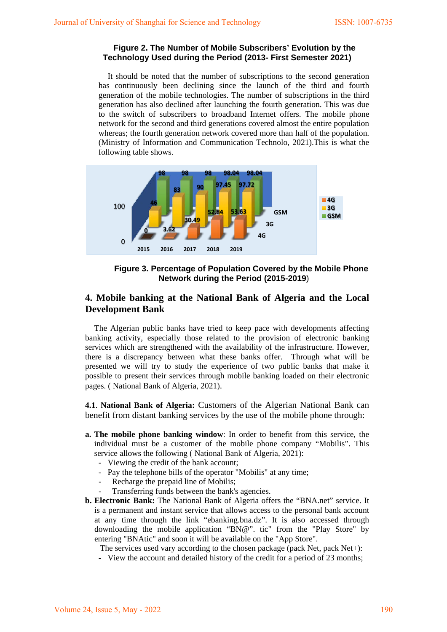### **Figure 2. The Number of Mobile Subscribers' Evolution by the Technology Used during the Period (2013- First Semester 2021)**

It should be noted that the number of subscriptions to the second generation has continuously been declining since the launch of the third and fourth generation of the mobile technologies. The number of subscriptions in the third generation has also declined after launching the fourth generation. This was due to the switch of subscribers to broadband Internet offers. The mobile phone network for the second and third generations covered almost the entire population whereas; the fourth generation network covered more than half of the population. (Ministry of Information and Communication Technolo, 2021).This is what the following table shows.



**Figure 3. Percentage of Population Covered by the Mobile Phone Network during the Period (2015-2019**)

# **4. Mobile banking at the National Bank of Algeria and the Local Development Bank**

The Algerian public banks have tried to keep pace with developments affecting banking activity, especially those related to the provision of electronic banking services which are strengthened with the availability of the infrastructure. However, there is a discrepancy between what these banks offer. Through what will be presented we will try to study the experience of two public banks that make it possible to present their services through mobile banking loaded on their electronic pages. ( National Bank of Algeria, 2021).

**4.1**. **National Bank of Algeria:** Customers of the Algerian National Bank can benefit from distant banking services by the use of the mobile phone through:

- **a. The mobile phone banking window**: In order to benefit from this service, the individual must be a customer of the mobile phone company "Mobilis". This service allows the following ( National Bank of Algeria, 2021):
	- Viewing the credit of the bank account;
	- Pay the telephone bills of the operator "Mobilis" at any time;
	- Recharge the prepaid line of Mobilis;
	- Transferring funds between the bank's agencies.
- **b. Electronic Bank:** The National Bank of Algeria offers the "BNA.net" service. It is a permanent and instant service that allows access to the personal bank account at any time through the link "ebanking.bna.dz". It is also accessed through downloading the mobile application "BN@". tic" from the "Play Store" by entering "BNAtic" and soon it will be available on the "App Store".

The services used vary according to the chosen package (pack Net, pack Net+):

- View the account and detailed history of the credit for a period of 23 months;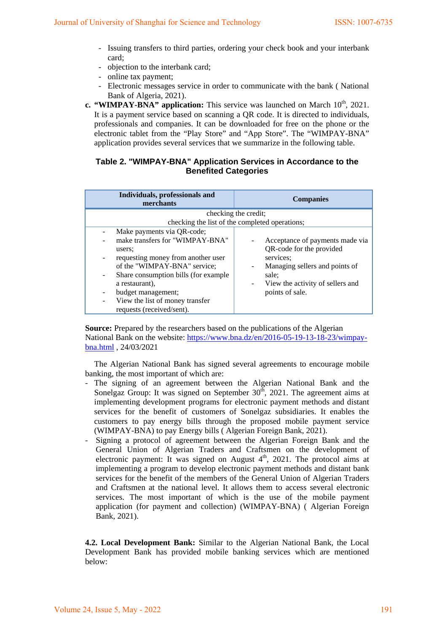- Issuing transfers to third parties, ordering your check book and your interbank card;
- objection to the interbank card;
- online tax payment;
- Electronic messages service in order to communicate with the bank ( National Bank of Algeria, 2021).
- **c. "WIMPAY-BNA" application:** This service was launched on March 10<sup>th</sup>, 2021. It is a payment service based on scanning a QR code. It is directed to individuals, professionals and companies. It can be downloaded for free on the phone or the electronic tablet from the "Play Store" and "App Store". The "WIMPAY-BNA" application provides several services that we summarize in the following table.

## **Table 2. "WIMPAY-BNA" Application Services in Accordance to the Benefited Categories**

| Individuals, professionals and<br>merchants                                                                                                                                                                                                                                                                                    | <b>Companies</b>                                                                                                                                                                                                                   |  |  |  |  |
|--------------------------------------------------------------------------------------------------------------------------------------------------------------------------------------------------------------------------------------------------------------------------------------------------------------------------------|------------------------------------------------------------------------------------------------------------------------------------------------------------------------------------------------------------------------------------|--|--|--|--|
| checking the credit;<br>checking the list of the completed operations;                                                                                                                                                                                                                                                         |                                                                                                                                                                                                                                    |  |  |  |  |
| Make payments via QR-code;<br>make transfers for "WIMPAY-BNA"<br>users:<br>requesting money from another user<br>$\overline{\phantom{0}}$<br>of the "WIMPAY-BNA" service;<br>Share consumption bills (for example<br>-<br>a restaurant).<br>budget management;<br>View the list of money transfer<br>requests (received/sent). | Acceptance of payments made via<br>QR-code for the provided<br>services:<br>Managing sellers and points of<br>$\overline{\phantom{a}}$<br>sale:<br>View the activity of sellers and<br>$\overline{\phantom{a}}$<br>points of sale. |  |  |  |  |

**Source:** Prepared by the researchers based on the publications of the Algerian National Bank on the website: [https://www.bna.dz/en/2016-05-19-13-18-23/wimpay](https://www.bna.dz/en/2016-05-19-13-18-23/wimpay-bna.html)[bna.html](https://www.bna.dz/en/2016-05-19-13-18-23/wimpay-bna.html) , 24/03/2021

The Algerian National Bank has signed several agreements to encourage mobile banking, the most important of which are:

- The signing of an agreement between the Algerian National Bank and the Sonelgaz Group: It was signed on September  $30<sup>th</sup>$ , 2021. The agreement aims at implementing development programs for electronic payment methods and distant services for the benefit of customers of Sonelgaz subsidiaries. It enables the customers to pay energy bills through the proposed mobile payment service (WIMPAY-BNA) to pay Energy bills ( Algerian Foreign Bank, 2021).
- Signing a protocol of agreement between the Algerian Foreign Bank and the General Union of Algerian Traders and Craftsmen on the development of electronic payment: It was signed on August 4<sup>th</sup>, 2021. The protocol aims at implementing a program to develop electronic payment methods and distant bank services for the benefit of the members of the General Union of Algerian Traders and Craftsmen at the national level. It allows them to access several electronic services. The most important of which is the use of the mobile payment application (for payment and collection) (WIMPAY-BNA) ( Algerian Foreign Bank, 2021).

**4.2. Local Development Bank:** Similar to the Algerian National Bank, the Local Development Bank has provided mobile banking services which are mentioned below: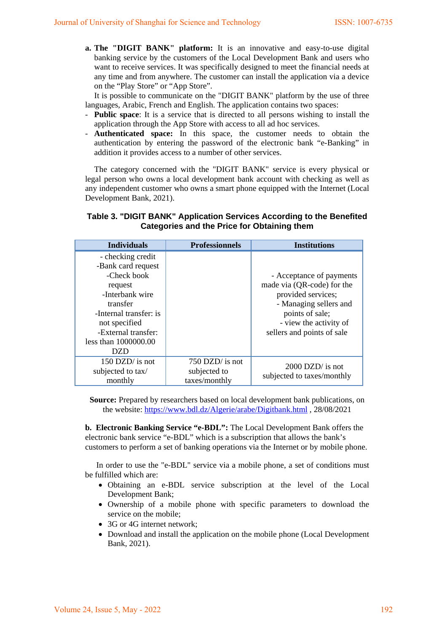**a. The "DIGIT BANK" platform:** It is an innovative and easy-to-use digital banking service by the customers of the Local Development Bank and users who want to receive services. It was specifically designed to meet the financial needs at any time and from anywhere. The customer can install the application via a device on the "Play Store" or "App Store".

It is possible to communicate on the "DIGIT BANK" platform by the use of three languages, Arabic, French and English. The application contains two spaces:

- **Public space**: It is a service that is directed to all persons wishing to install the application through the App Store with access to all ad hoc services.
- **Authenticated space:** In this space, the customer needs to obtain the authentication by entering the password of the electronic bank "e-Banking" in addition it provides access to a number of other services.

The category concerned with the "DIGIT BANK" service is every physical or legal person who owns a local development bank account with checking as well as any independent customer who owns a smart phone equipped with the Internet (Local Development Bank, 2021).

# **Table 3. "DIGIT BANK" Application Services According to the Benefited Categories and the Price for Obtaining them**

| <b>Individuals</b>                                                                                                         | <b>Professionnels</b>                            | <b>Institutions</b>                                                                                                       |
|----------------------------------------------------------------------------------------------------------------------------|--------------------------------------------------|---------------------------------------------------------------------------------------------------------------------------|
| - checking credit<br>-Bank card request<br>-Check book<br>request<br>-Interbank wire<br>transfer<br>-Internal transfer: is |                                                  | - Acceptance of payments<br>made via (QR-code) for the<br>provided services;<br>- Managing sellers and<br>points of sale; |
| not specified<br>-External transfer:<br>less than 1000000.00<br>DZD                                                        |                                                  | - view the activity of<br>sellers and points of sale                                                                      |
| 150 DZD/ is not<br>subjected to tax/<br>monthly                                                                            | 750 DZD/ is not<br>subjected to<br>taxes/monthly | $2000$ DZD/ is not<br>subjected to taxes/monthly                                                                          |

**Source:** Prepared by researchers based on local development bank publications, on the website:<https://www.bdl.dz/Algerie/arabe/Digitbank.html> , 28/08/2021

**b. Electronic Banking Service "e-BDL":** The Local Development Bank offers the electronic bank service "e-BDL" which is a subscription that allows the bank's customers to perform a set of banking operations via the Internet or by mobile phone.

In order to use the "e-BDL" service via a mobile phone, a set of conditions must be fulfilled which are:

- Obtaining an e-BDL service subscription at the level of the Local Development Bank;
- Ownership of a mobile phone with specific parameters to download the service on the mobile;
- 3G or 4G internet network:
- Download and install the application on the mobile phone (Local Development Bank, 2021).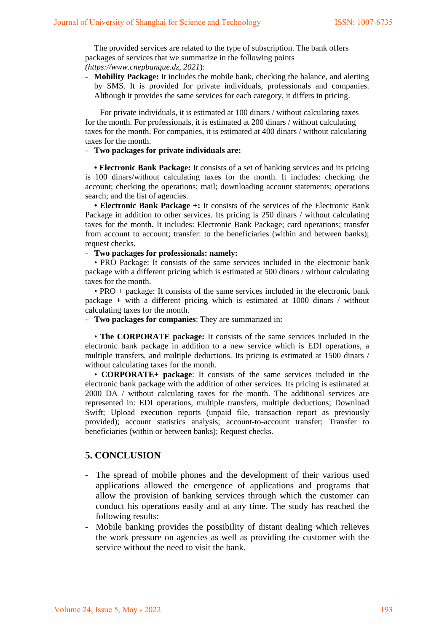The provided services are related to the type of subscription. The bank offers packages of services that we summarize in the following points *(https://www.cnepbanque.dz, 2021*):

- **Mobility Package:** It includes the mobile bank, checking the balance, and alerting by SMS. It is provided for private individuals, professionals and companies. Although it provides the same services for each category, it differs in pricing.

For private individuals, it is estimated at 100 dinars / without calculating taxes for the month. For professionals, it is estimated at 200 dinars / without calculating taxes for the month. For companies, it is estimated at 400 dinars / without calculating taxes for the month.

### - **Two packages for private individuals are:**

**• Electronic Bank Package:** It consists of a set of banking services and its pricing is 100 dinars/without calculating taxes for the month. It includes: checking the account; checking the operations; mail; downloading account statements; operations search; and the list of agencies.

**• Electronic Bank Package +:** It consists of the services of the Electronic Bank Package in addition to other services. Its pricing is 250 dinars / without calculating taxes for the month. It includes: Electronic Bank Package; card operations; transfer from account to account; transfer: to the beneficiaries (within and between banks); request checks.

### - **Two packages for professionals: namely:**

• PRO Package: It consists of the same services included in the electronic bank package with a different pricing which is estimated at 500 dinars / without calculating taxes for the month.

• PRO + package: It consists of the same services included in the electronic bank package  $+$  with a different pricing which is estimated at 1000 dinars / without calculating taxes for the month.

- **Two packages for companies**: They are summarized in:

• **The CORPORATE package:** It consists of the same services included in the electronic bank package in addition to a new service which is EDI operations, a multiple transfers, and multiple deductions. Its pricing is estimated at 1500 dinars / without calculating taxes for the month.

• **CORPORATE+ package**: It consists of the same services included in the electronic bank package with the addition of other services. Its pricing is estimated at 2000 DA / without calculating taxes for the month. The additional services are represented in: EDI operations, multiple transfers, multiple deductions; Download Swift; Upload execution reports (unpaid file, transaction report as previously provided); account statistics analysis; account-to-account transfer; Transfer to beneficiaries (within or between banks); Request checks.

# **5. CONCLUSION**

- The spread of mobile phones and the development of their various used applications allowed the emergence of applications and programs that allow the provision of banking services through which the customer can conduct his operations easily and at any time. The study has reached the following results:
- Mobile banking provides the possibility of distant dealing which relieves the work pressure on agencies as well as providing the customer with the service without the need to visit the bank.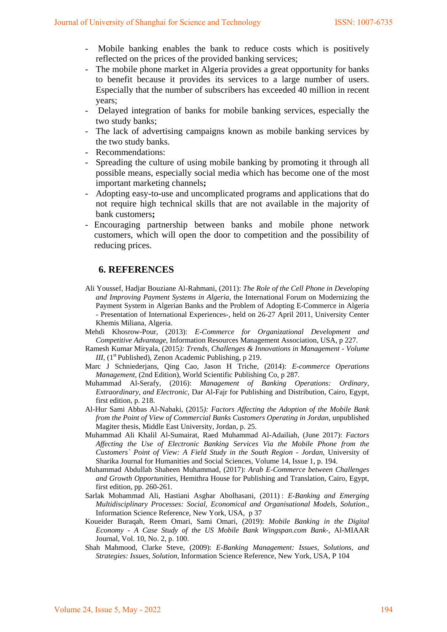- Mobile banking enables the bank to reduce costs which is positively reflected on the prices of the provided banking services;
- The mobile phone market in Algeria provides a great opportunity for banks to benefit because it provides its services to a large number of users. Especially that the number of subscribers has exceeded 40 million in recent years;
- Delayed integration of banks for mobile banking services, especially the two study banks;
- The lack of advertising campaigns known as mobile banking services by the two study banks.
- Recommendations:
- Spreading the culture of using mobile banking by promoting it through all possible means, especially social media which has become one of the most important marketing channels**;**
- Adopting easy-to-use and uncomplicated programs and applications that do not require high technical skills that are not available in the majority of bank customers**;**
- Encouraging partnership between banks and mobile phone network customers, which will open the door to competition and the possibility of reducing prices.

## **6. REFERENCES**

- Ali Youssef, Hadjar Bouziane Al-Rahmani, (2011): *The Role of the Cell Phone in Developing and Improving Payment Systems in Algeria*, the International Forum on Modernizing the Payment System in Algerian Banks and the Problem of Adopting E-Commerce in Algeria - Presentation of International Experiences-, held on 26-27 April 2011, University Center Khemis Miliana, Algeria.
- Mehdi Khosrow-Pour, (2013): *E-Commerce for Organizational Development and Competitive Advantage*, Information Resources Management Association, USA, p 227.
- Ramesh Kumar Miryala, (2015*): Trends, Challenges & Innovations in Management Volume III*, (1<sup>st</sup> Published), Zenon Academic Publishing, p 219.
- Marc J Schniederjans, Qing Cao, Jason H Triche, (2014): *E-commerce Operations Management*, (2nd Edition), World Scientific Publishing Co, p 287.
- Muhammad Al-Serafy, (2016): *Management of Banking Operations: Ordinary, Extraordinary, and Electronic*, Dar Al-Fajr for Publishing and Distribution, Cairo, Egypt, first edition, p. 218.
- Al-Hur Sami Abbas Al-Nabaki, (2015*): Factors Affecting the Adoption of the Mobile Bank from the Point of View of Commercial Banks Customers Operating in Jordan*, unpublished Magiter thesis, Middle East University, Jordan, p. 25.
- Muhammad Ali Khalil Al-Sumairat, Raed Muhammad Al-Adailiah, (June 2017): *Factors Affecting the Use of Electronic Banking Services Via the Mobile Phone from the Customers` Point of View: A Field Study in the South Region - Jordan*, University of Sharika Journal for Humanities and Social Sciences, Volume 14, Issue 1, p. 194.
- Muhammad Abdullah Shaheen Muhammad, (2017): *Arab E-Commerce between Challenges and Growth Opportunities*, Hemithra House for Publishing and Translation, Cairo, Egypt, first edition, pp. 260-261.
- Sarlak Mohammad Ali, Hastiani Asghar Abolhasani, (2011) : *E-Banking and Emerging Multidisciplinary Processes: Social, Economical and Organisational Models, Solution*., Information Science Reference, New York, USA, p 37
- Koueider Buraqah, Reem Omari, Sami Omari, (2019): *Mobile Banking in the Digital Economy - A Case Study of the US Mobile Bank Wingspan.com Bank*-, Al-MIAAR Journal, Vol. 10, No. 2, p. 100.
- Shah Mahmood, Clarke Steve, (2009): *E-Banking Management: Issues, Solutions, and Strategies: Issues, Solution*, Information Science Reference, New York, USA, P 104